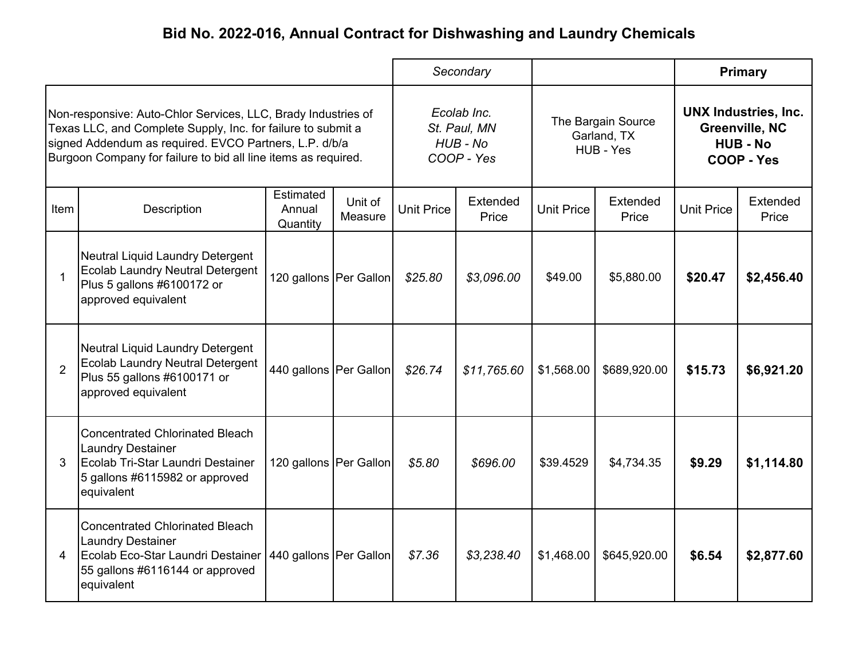|                                                                                                                                                                                                                                                           |                                                                                                                                                          |                                 |                    | Secondary                                             |                   |                                                |                   | <b>Primary</b>                                                                 |                   |
|-----------------------------------------------------------------------------------------------------------------------------------------------------------------------------------------------------------------------------------------------------------|----------------------------------------------------------------------------------------------------------------------------------------------------------|---------------------------------|--------------------|-------------------------------------------------------|-------------------|------------------------------------------------|-------------------|--------------------------------------------------------------------------------|-------------------|
| Non-responsive: Auto-Chlor Services, LLC, Brady Industries of<br>Texas LLC, and Complete Supply, Inc. for failure to submit a<br>signed Addendum as required. EVCO Partners, L.P. d/b/a<br>Burgoon Company for failure to bid all line items as required. |                                                                                                                                                          |                                 |                    | Ecolab Inc.<br>St. Paul, MN<br>HUB - No<br>COOP - Yes |                   | The Bargain Source<br>Garland, TX<br>HUB - Yes |                   | <b>UNX Industries, Inc.</b><br>Greenville, NC<br><b>HUB - No</b><br>COOP - Yes |                   |
| ltem.                                                                                                                                                                                                                                                     | Description                                                                                                                                              | Estimated<br>Annual<br>Quantity | Unit of<br>Measure | <b>Unit Price</b>                                     | Extended<br>Price | <b>Unit Price</b>                              | Extended<br>Price | <b>Unit Price</b>                                                              | Extended<br>Price |
| $\mathbf 1$                                                                                                                                                                                                                                               | Neutral Liquid Laundry Detergent<br><b>Ecolab Laundry Neutral Detergent</b><br>Plus 5 gallons #6100172 or<br>approved equivalent                         | 120 gallons Per Gallon          |                    | \$25.80                                               | \$3,096.00        | \$49.00                                        | \$5,880.00        | \$20.47                                                                        | \$2,456.40        |
| 2                                                                                                                                                                                                                                                         | Neutral Liquid Laundry Detergent<br><b>Ecolab Laundry Neutral Detergent</b><br>Plus 55 gallons #6100171 or<br>approved equivalent                        | 440 gallons   Per Gallon        |                    | \$26.74                                               | \$11,765.60       | \$1,568.00                                     | \$689,920.00      | \$15.73                                                                        | \$6,921.20        |
| 3                                                                                                                                                                                                                                                         | <b>Concentrated Chlorinated Bleach</b><br><b>Laundry Destainer</b><br>Ecolab Tri-Star Laundri Destainer<br>5 gallons #6115982 or approved<br>equivalent  | 120 gallons Per Gallon          |                    | \$5.80                                                | \$696.00          | \$39.4529                                      | \$4,734.35        | \$9.29                                                                         | \$1,114.80        |
| 4                                                                                                                                                                                                                                                         | <b>Concentrated Chlorinated Bleach</b><br><b>Laundry Destainer</b><br>Ecolab Eco-Star Laundri Destainer<br>55 gallons #6116144 or approved<br>equivalent | 440 gallons   Per Gallon        |                    | \$7.36                                                | \$3,238.40        | \$1,468.00                                     | \$645,920.00      | \$6.54                                                                         | \$2,877.60        |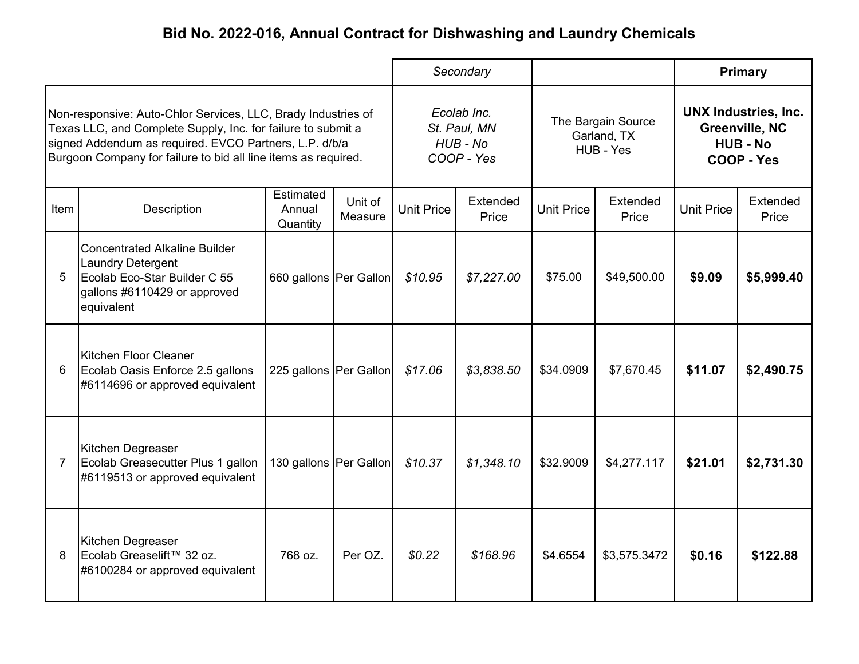|                                                                                                                                                                                                                                                           |                                                                                                                                                |                                 |                    | Secondary                                             |                   |                                                |                   | <b>Primary</b>                                                                 |                   |
|-----------------------------------------------------------------------------------------------------------------------------------------------------------------------------------------------------------------------------------------------------------|------------------------------------------------------------------------------------------------------------------------------------------------|---------------------------------|--------------------|-------------------------------------------------------|-------------------|------------------------------------------------|-------------------|--------------------------------------------------------------------------------|-------------------|
| Non-responsive: Auto-Chlor Services, LLC, Brady Industries of<br>Texas LLC, and Complete Supply, Inc. for failure to submit a<br>signed Addendum as required. EVCO Partners, L.P. d/b/a<br>Burgoon Company for failure to bid all line items as required. |                                                                                                                                                |                                 |                    | Ecolab Inc.<br>St. Paul, MN<br>HUB - No<br>COOP - Yes |                   | The Bargain Source<br>Garland, TX<br>HUB - Yes |                   | <b>UNX Industries, Inc.</b><br>Greenville, NC<br><b>HUB - No</b><br>COOP - Yes |                   |
| ltem.                                                                                                                                                                                                                                                     | Description                                                                                                                                    | Estimated<br>Annual<br>Quantity | Unit of<br>Measure | <b>Unit Price</b>                                     | Extended<br>Price | <b>Unit Price</b>                              | Extended<br>Price | <b>Unit Price</b>                                                              | Extended<br>Price |
| 5                                                                                                                                                                                                                                                         | <b>Concentrated Alkaline Builder</b><br><b>Laundry Detergent</b><br>Ecolab Eco-Star Builder C 55<br>gallons #6110429 or approved<br>equivalent | 660 gallons Per Gallon          |                    | \$10.95                                               | \$7,227.00        | \$75.00                                        | \$49,500.00       | \$9.09                                                                         | \$5,999.40        |
| 6                                                                                                                                                                                                                                                         | Kitchen Floor Cleaner<br>Ecolab Oasis Enforce 2.5 gallons<br>#6114696 or approved equivalent                                                   | 225 gallons   Per Gallon        |                    | \$17.06                                               | \$3,838.50        | \$34.0909                                      | \$7,670.45        | \$11.07                                                                        | \$2,490.75        |
| $\overline{7}$                                                                                                                                                                                                                                            | Kitchen Degreaser<br>Ecolab Greasecutter Plus 1 gallon<br>#6119513 or approved equivalent                                                      | 130 gallons Per Gallon          |                    | \$10.37                                               | \$1,348.10        | \$32.9009                                      | \$4,277.117       | \$21.01                                                                        | \$2,731.30        |
| 8                                                                                                                                                                                                                                                         | Kitchen Degreaser<br>Ecolab Greaselift™ 32 oz.<br>#6100284 or approved equivalent                                                              | 768 oz.                         | Per OZ.            | \$0.22                                                | \$168.96          | \$4.6554                                       | \$3,575.3472      | \$0.16                                                                         | \$122.88          |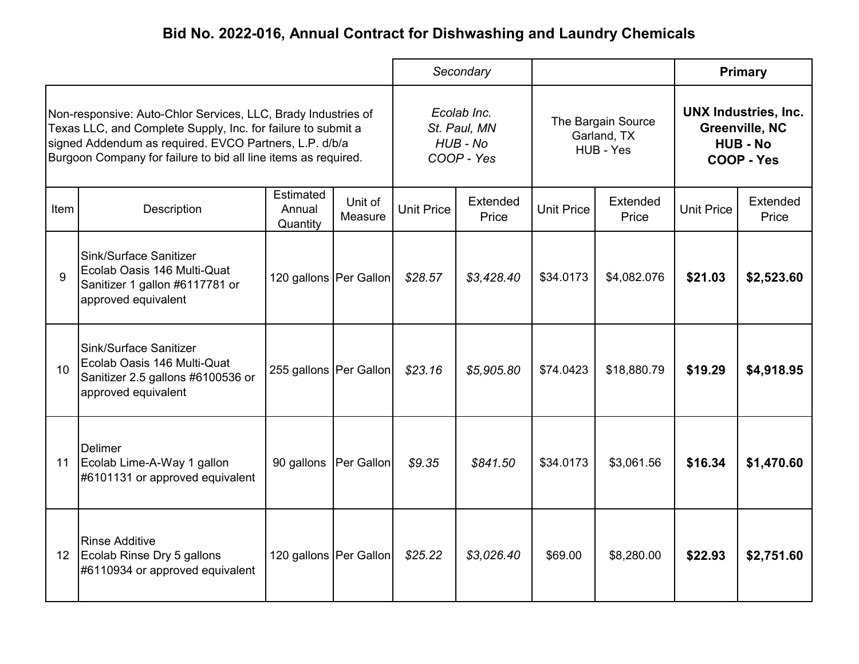|                                                                                                                                                                                                                                                           |                                                                                                                   |                                 |                    | Secondary                                             |                   |                                                | <b>Primary</b>    |                                                                                |                   |
|-----------------------------------------------------------------------------------------------------------------------------------------------------------------------------------------------------------------------------------------------------------|-------------------------------------------------------------------------------------------------------------------|---------------------------------|--------------------|-------------------------------------------------------|-------------------|------------------------------------------------|-------------------|--------------------------------------------------------------------------------|-------------------|
| Non-responsive: Auto-Chlor Services, LLC, Brady Industries of<br>Texas LLC, and Complete Supply, Inc. for failure to submit a<br>signed Addendum as required. EVCO Partners, L.P. d/b/a<br>Burgoon Company for failure to bid all line items as required. |                                                                                                                   |                                 |                    | Ecolab Inc.<br>St. Paul, MN<br>HUB - No<br>COOP - Yes |                   | The Bargain Source<br>Garland, TX<br>HUB - Yes |                   | <b>UNX Industries, Inc.</b><br>Greenville, NC<br><b>HUB - No</b><br>COOP - Yes |                   |
| ltem                                                                                                                                                                                                                                                      | Description                                                                                                       | Estimated<br>Annual<br>Quantity | Unit of<br>Measure | <b>Unit Price</b>                                     | Extended<br>Price | <b>Unit Price</b>                              | Extended<br>Price | <b>Unit Price</b>                                                              | Extended<br>Price |
| 9                                                                                                                                                                                                                                                         | Sink/Surface Sanitizer<br>Ecolab Oasis 146 Multi-Quat<br>Sanitizer 1 gallon #6117781 or<br>approved equivalent    | 120 gallons   Per Gallon        |                    | \$28.57                                               | \$3,428.40        | \$34.0173                                      | \$4,082.076       | \$21.03                                                                        | \$2,523.60        |
| 10                                                                                                                                                                                                                                                        | Sink/Surface Sanitizer<br>Ecolab Oasis 146 Multi-Quat<br>Sanitizer 2.5 gallons #6100536 or<br>approved equivalent | 255 gallons   Per Gallon        |                    | \$23.16                                               | \$5,905.80        | \$74.0423                                      | \$18,880.79       | \$19.29                                                                        | \$4,918.95        |
| 11                                                                                                                                                                                                                                                        | <b>Delimer</b><br>Ecolab Lime-A-Way 1 gallon<br>#6101131 or approved equivalent                                   | 90 gallons                      | Per Gallon         | \$9.35                                                | \$841.50          | \$34.0173                                      | \$3,061.56        | \$16.34                                                                        | \$1,470.60        |
| 12 <sup>2</sup>                                                                                                                                                                                                                                           | <b>Rinse Additive</b><br>Ecolab Rinse Dry 5 gallons<br>#6110934 or approved equivalent                            | 120 gallons Per Gallon          |                    | \$25.22                                               | \$3,026.40        | \$69.00                                        | \$8,280.00        | \$22.93                                                                        | \$2,751.60        |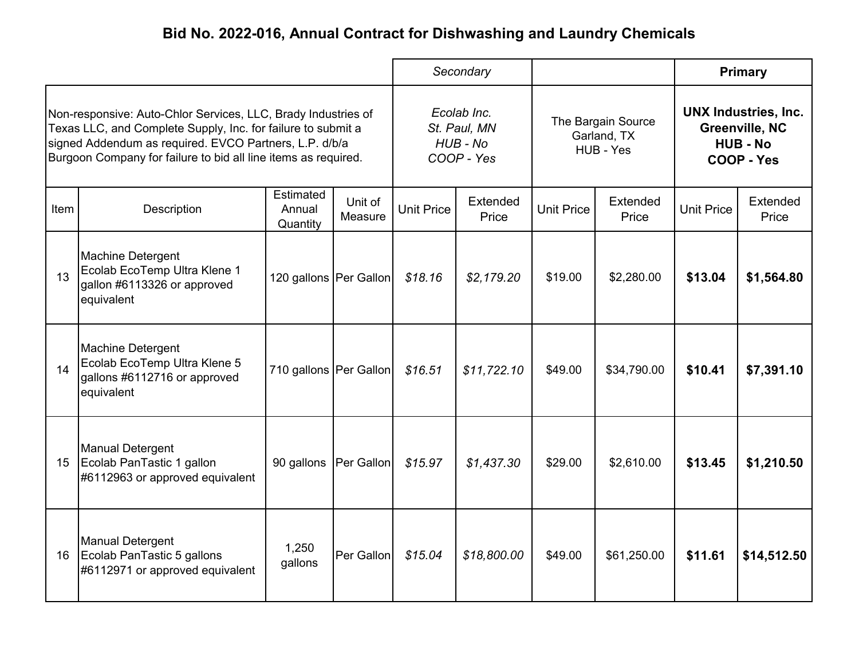|                                                                                                                                                                                                                                                           |                                                                                                       |                                 | Secondary          |                                                       |                   |                                                | <b>Primary</b>    |                                                                                |                   |
|-----------------------------------------------------------------------------------------------------------------------------------------------------------------------------------------------------------------------------------------------------------|-------------------------------------------------------------------------------------------------------|---------------------------------|--------------------|-------------------------------------------------------|-------------------|------------------------------------------------|-------------------|--------------------------------------------------------------------------------|-------------------|
| Non-responsive: Auto-Chlor Services, LLC, Brady Industries of<br>Texas LLC, and Complete Supply, Inc. for failure to submit a<br>signed Addendum as required. EVCO Partners, L.P. d/b/a<br>Burgoon Company for failure to bid all line items as required. |                                                                                                       |                                 |                    | Ecolab Inc.<br>St. Paul, MN<br>HUB - No<br>COOP - Yes |                   | The Bargain Source<br>Garland, TX<br>HUB - Yes |                   | <b>UNX Industries, Inc.</b><br>Greenville, NC<br><b>HUB - No</b><br>COOP - Yes |                   |
| ltem.                                                                                                                                                                                                                                                     | Description                                                                                           | Estimated<br>Annual<br>Quantity | Unit of<br>Measure | <b>Unit Price</b>                                     | Extended<br>Price | <b>Unit Price</b>                              | Extended<br>Price | <b>Unit Price</b>                                                              | Extended<br>Price |
| 13                                                                                                                                                                                                                                                        | <b>Machine Detergent</b><br>Ecolab EcoTemp Ultra Klene 1<br>gallon #6113326 or approved<br>equivalent | 120 gallons   Per Gallon        |                    | \$18.16                                               | \$2,179.20        | \$19.00                                        | \$2,280.00        | \$13.04                                                                        | \$1,564.80        |
| 14                                                                                                                                                                                                                                                        | Machine Detergent<br>Ecolab EcoTemp Ultra Klene 5<br>gallons #6112716 or approved<br>equivalent       | 710 gallons   Per Gallon        |                    | \$16.51                                               | \$11,722.10       | \$49.00                                        | \$34,790.00       | \$10.41                                                                        | \$7,391.10        |
| 15                                                                                                                                                                                                                                                        | <b>Manual Detergent</b><br>Ecolab PanTastic 1 gallon<br>#6112963 or approved equivalent               | 90 gallons                      | Per Gallon         | \$15.97                                               | \$1,437.30        | \$29.00                                        | \$2,610.00        | \$13.45                                                                        | \$1,210.50        |
| 16                                                                                                                                                                                                                                                        | <b>Manual Detergent</b><br>Ecolab PanTastic 5 gallons<br>#6112971 or approved equivalent              | 1,250<br>gallons                | Per Gallon         | \$15.04                                               | \$18,800.00       | \$49.00                                        | \$61,250.00       | \$11.61                                                                        | \$14,512.50       |